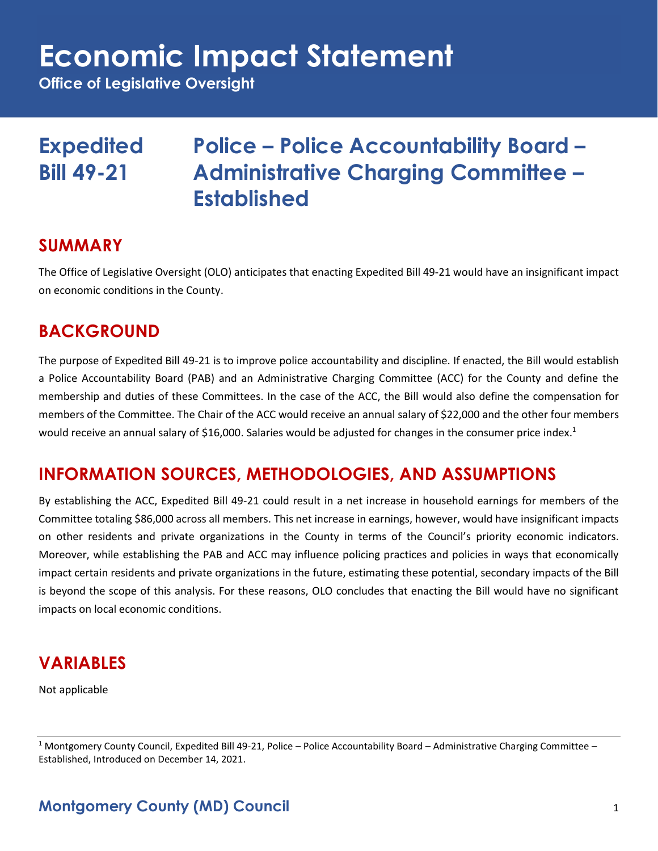# **Economic Impact Statement**

**Office of Legislative Oversight**

## **Expedited Police – Police Accountability Board – Bill 49-21 Administrative Charging Committee – Established**

#### **SUMMARY**

The Office of Legislative Oversight (OLO) anticipates that enacting Expedited Bill 49-21 would have an insignificant impact on economic conditions in the County.

#### **BACKGROUND**

The purpose of Expedited Bill 49-21 is to improve police accountability and discipline. If enacted, the Bill would establish a Police Accountability Board (PAB) and an Administrative Charging Committee (ACC) for the County and define the membership and duties of these Committees. In the case of the ACC, the Bill would also define the compensation for members of the Committee. The Chair of the ACC would receive an annual salary of \$22,000 and the other four members would receive an annual salary of \$16,000. Salaries would be adjusted for changes in the consumer price index.<sup>1</sup>

### **INFORMATION SOURCES, METHODOLOGIES, AND ASSUMPTIONS**

By establishing the ACC, Expedited Bill 49-21 could result in a net increase in household earnings for members of the Committee totaling \$86,000 across all members. This net increase in earnings, however, would have insignificant impacts on other residents and private organizations in the County in terms of the Council's priority economic indicators. Moreover, while establishing the PAB and ACC may influence policing practices and policies in ways that economically impact certain residents and private organizations in the future, estimating these potential, secondary impacts of the Bill is beyond the scope of this analysis. For these reasons, OLO concludes that enacting the Bill would have no significant impacts on local economic conditions.

### **VARIABLES**

Not applicable

<sup>&</sup>lt;sup>1</sup> Montgomery County Council, Expedited Bill 49-21, Police – Police Accountability Board – Administrative Charging Committee – Established, Introduced on December 14, 2021.